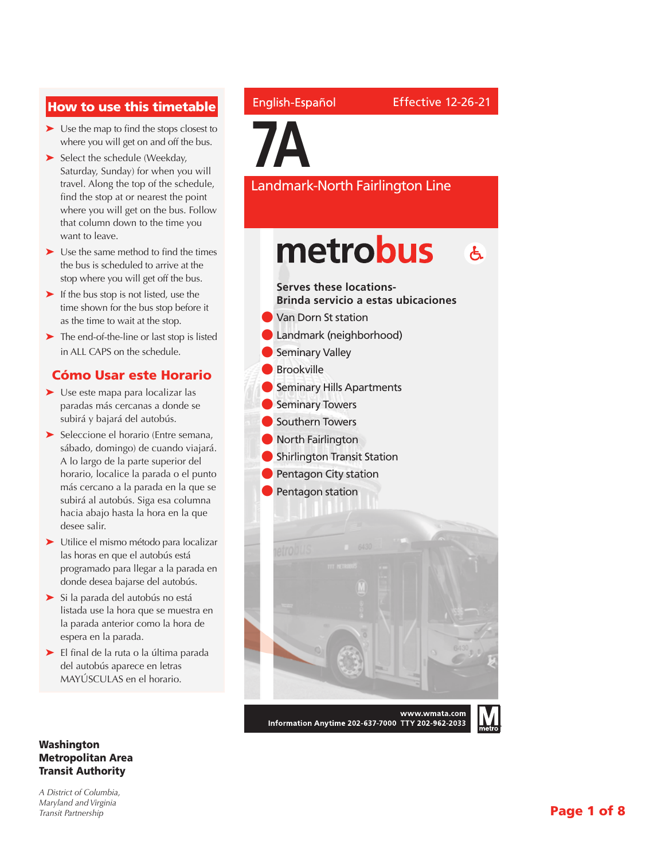#### How to use this timetable

- ➤ Use the map to find the stops closest to where you will get on and off the bus.
- ➤ Select the schedule (Weekday, Saturday, Sunday) for when you will travel. Along the top of the schedule, find the stop at or nearest the point where you will get on the bus. Follow that column down to the time you want to leave.
- ➤ Use the same method to find the times the bus is scheduled to arrive at the stop where you will get off the bus.
- ➤ If the bus stop is not listed, use the time shown for the bus stop before it as the time to wait at the stop.
- ➤ The end-of-the-line or last stop is listed in ALL CAPS on the schedule.

#### Cómo Usar este Horario

- ➤ Use este mapa para localizar las paradas más cercanas a donde se subirá y bajará del autobús.
- ➤ Seleccione el horario (Entre semana, sábado, domingo) de cuando viajará. A lo largo de la parte superior del horario, localice la parada o el punto más cercano a la parada en la que se subirá al autobús. Siga esa columna hacia abajo hasta la hora en la que desee salir.
- ➤ Utilice el mismo método para localizar las horas en que el autobús está programado para llegar a la parada en donde desea bajarse del autobús.
- ➤ Si la parada del autobús no está listada use la hora que se muestra en la parada anterior como la hora de espera en la parada.
- ➤ El final de la ruta o la última parada del autobús aparece en letras MAYÚSCULAS en el horario.

#### Washington Metropolitan Area Transit Authority

*A District of Columbia, Maryland and Virginia Transit Partnership*

#### English-Español

Effective 12-26-21

**7A**

Landmark-North Fairlington Line

### metrobus  $\mathbf{A}$

## **Serves these locations-**

**Brinda servicio a estas ubicaciones**

- l Van Dorn St station l Landmark (neighborhood)
- **Seminary Valley**
- l Brookville
- Seminary Hills Apartments
- **Seminary Towers**
- l Southern Towers
- **In North Fairlington**
- **Shirlington Transit Station**
- **Pentagon City station**
- Pentagon station



Information Anytime 202-637-7000 TTY 202-962-2033

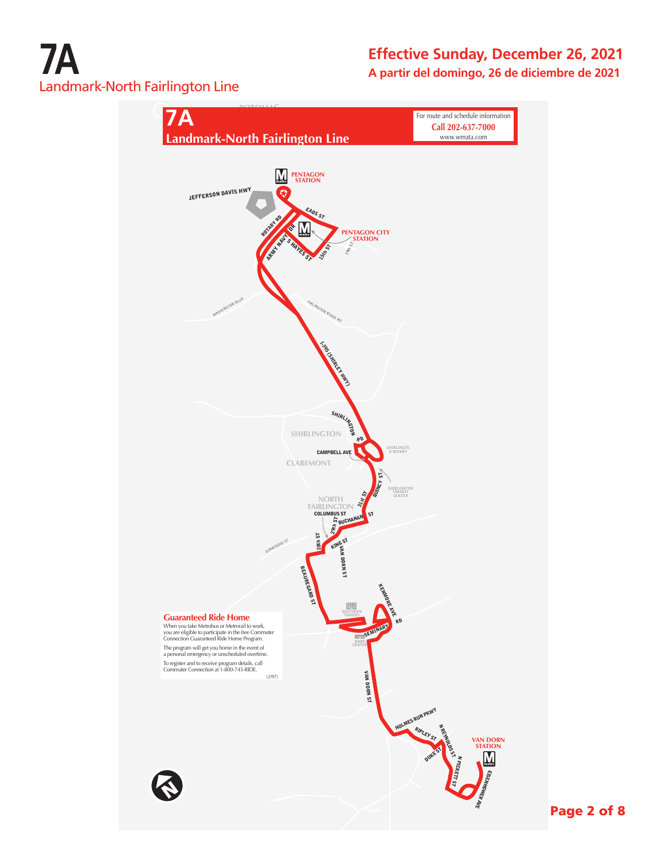# **7A** Landmark-North Fairlington Line

## **Effective Sunday, December 26, 2021**

**A partir del domingo, 26 de diciembre de 2021**



Page 2 of 8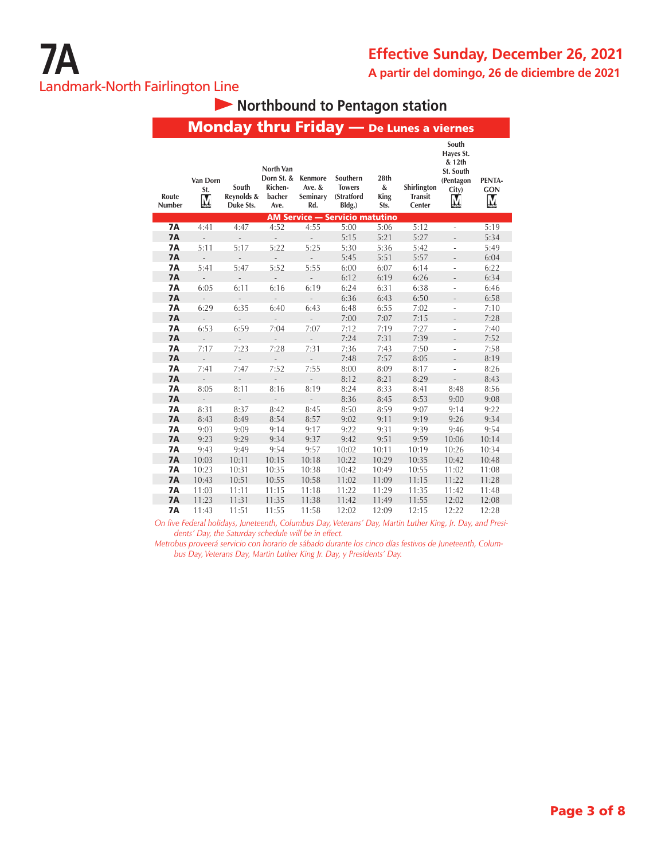### **• Northbound to Pentagon station**

|                        |                              |                                  |                                                      |                                             |                                                   |                                  | <b>Monday thru Friday</b> — De Lunes a viernes |                                                                             |                           |
|------------------------|------------------------------|----------------------------------|------------------------------------------------------|---------------------------------------------|---------------------------------------------------|----------------------------------|------------------------------------------------|-----------------------------------------------------------------------------|---------------------------|
| Route<br>Number        | Van Dorn<br>St.<br>M         | South<br>Reynolds &<br>Duke Sts. | North Van<br>Dorn St. &<br>Richen-<br>bacher<br>Ave. | <b>Kenmore</b><br>Ave. &<br>Seminary<br>Rd. | Southern<br><b>Towers</b><br>(Stratford<br>Bldg.) | 28th<br>&<br><b>King</b><br>Sts. | Shirlington<br><b>Transit</b><br>Center        | South<br>Hayes St.<br>& 12th<br>St. South<br>(Pentagon<br>City)<br><u>M</u> | PENTA-<br><b>GON</b><br>M |
|                        |                              |                                  |                                                      |                                             | <b>AM Service - Servicio matutino</b>             |                                  |                                                |                                                                             |                           |
| <b>7A</b>              | 4:41                         | 4:47                             | 4:52                                                 | 4:55                                        | 5:00                                              | 5:06                             | 5:12                                           | ÷,                                                                          | 5:19                      |
| <b>7A</b><br><b>7A</b> |                              |                                  | $\overline{a}$                                       | $\overline{a}$                              | 5:15                                              | 5:21                             | 5:27                                           | $\overline{a}$                                                              | 5:34                      |
| <b>7A</b>              | 5:11                         | 5:17                             | 5:22                                                 | 5:25                                        | 5:30<br>5:45                                      | 5:36<br>5:51                     | 5:42<br>5:57                                   | ÷,                                                                          | 5:49<br>6:04              |
| <b>7A</b>              | 5:41                         | 5:47                             | 5:52                                                 | 5:55                                        | 6:00                                              | 6:07                             | 6:14                                           | $\overline{\phantom{a}}$                                                    | 6:22                      |
| <b>7A</b>              |                              |                                  |                                                      |                                             | 6:12                                              | 6:19                             | 6:26                                           | $\overline{\phantom{a}}$                                                    | 6:34                      |
| <b>7A</b>              | 6:05                         | 6:11                             | 6:16                                                 | 6:19                                        | 6:24                                              | 6:31                             | 6:38                                           | ä,                                                                          | 6:46                      |
| <b>7A</b>              | $\qquad \qquad \blacksquare$ | $\overline{a}$                   | $\overline{a}$                                       | $\overline{a}$                              | 6:36                                              | 6:43                             | 6:50                                           | $\overline{a}$                                                              | 6:58                      |
| 7A                     | 6:29                         | 6:35                             | 6:40                                                 | 6:43                                        | 6:48                                              | 6:55                             | 7:02                                           | ÷,                                                                          | 7:10                      |
| <b>7A</b>              |                              |                                  |                                                      |                                             | 7:00                                              | 7:07                             | 7:15                                           | $\overline{a}$                                                              | 7:28                      |
| <b>7A</b>              | 6:53                         | 6:59                             | 7:04                                                 | 7:07                                        | 7:12                                              | 7:19                             | 7:27                                           | ÷,                                                                          | 7:40                      |
| <b>7A</b>              |                              |                                  |                                                      |                                             | 7:24                                              | 7:31                             | 7:39                                           | $\overline{\phantom{a}}$                                                    | 7:52                      |
| <b>7A</b>              | 7:17                         | 7:23                             | 7:28                                                 | 7:31                                        | 7:36                                              | 7:43                             | 7:50                                           | ÷,                                                                          | 7:58                      |
| <b>7A</b>              |                              |                                  |                                                      |                                             | 7:48                                              | 7:57                             | 8:05                                           |                                                                             | 8:19                      |
| 7Α                     | 7:41                         | 7:47                             | 7:52                                                 | 7:55                                        | 8:00                                              | 8:09                             | 8:17                                           | ä,                                                                          | 8:26                      |
| <b>7A</b>              |                              |                                  |                                                      |                                             | 8:12                                              | 8:21                             | 8:29                                           |                                                                             | 8:43                      |
| <b>7A</b>              | 8:05                         | 8:11                             | 8:16                                                 | 8:19                                        | 8:24                                              | 8:33                             | 8:41                                           | 8:48                                                                        | 8:56                      |
| <b>7A</b>              |                              |                                  |                                                      |                                             | 8:36                                              | 8:45                             | 8:53                                           | 9:00                                                                        | 9:08                      |
| <b>7A</b>              | 8:31                         | 8:37                             | 8:42                                                 | 8:45                                        | 8:50                                              | 8:59                             | 9:07                                           | 9:14                                                                        | 9:22                      |
| <b>7A</b>              | 8:43                         | 8:49                             | 8:54                                                 | 8:57                                        | 9:02                                              | 9:11                             | 9:19                                           | 9:26                                                                        | 9:34                      |
| <b>7A</b>              | 9:03                         | 9:09                             | 9:14                                                 | 9:17                                        | 9:22                                              | 9:31                             | 9:39                                           | 9:46                                                                        | 9:54                      |
| <b>7A</b>              | 9:23                         | 9:29                             | 9:34                                                 | 9:37                                        | 9:42                                              | 9:51                             | 9:59                                           | 10:06                                                                       | 10:14                     |
| 7A                     | 9:43                         | 9:49                             | 9:54                                                 | 9:57                                        | 10:02                                             | 10:11                            | 10:19                                          | 10:26                                                                       | 10:34                     |
| <b>7A</b>              | 10:03                        | 10:11                            | 10:15                                                | 10:18                                       | 10:22                                             | 10:29                            | 10:35                                          | 10:42                                                                       | 10:48                     |
| <b>7A</b>              | 10:23                        | 10:31                            | 10:35                                                | 10:38                                       | 10:42                                             | 10:49                            | 10:55                                          | 11:02                                                                       | 11:08                     |
| <b>7A</b>              | 10:43                        | 10:51                            | 10:55                                                | 10:58                                       | 11:02                                             | 11:09                            | 11:15                                          | 11:22                                                                       | 11:28                     |
| 7Α                     | 11:03                        | 11:11                            | 11:15                                                | 11:18                                       | 11:22                                             | 11:29                            | 11:35                                          | 11:42                                                                       | 11:48                     |
| <b>7A</b>              | 11:23                        | 11:31                            | 11:35                                                | 11:38                                       | 11:42                                             | 11:49                            | 11:55                                          | 12:02                                                                       | 12:08                     |
| <b>7A</b>              | 11:43                        | 11:51                            | 11:55                                                | 11:58                                       | 12:02                                             | 12:09                            | 12:15                                          | 12:22                                                                       | 12:28                     |

*On five Federal holidays, Juneteenth, Columbus Day, Veterans' Day, Martin Luther King, Jr. Day, and Presidents' Day, the Saturday schedule will be in effect.*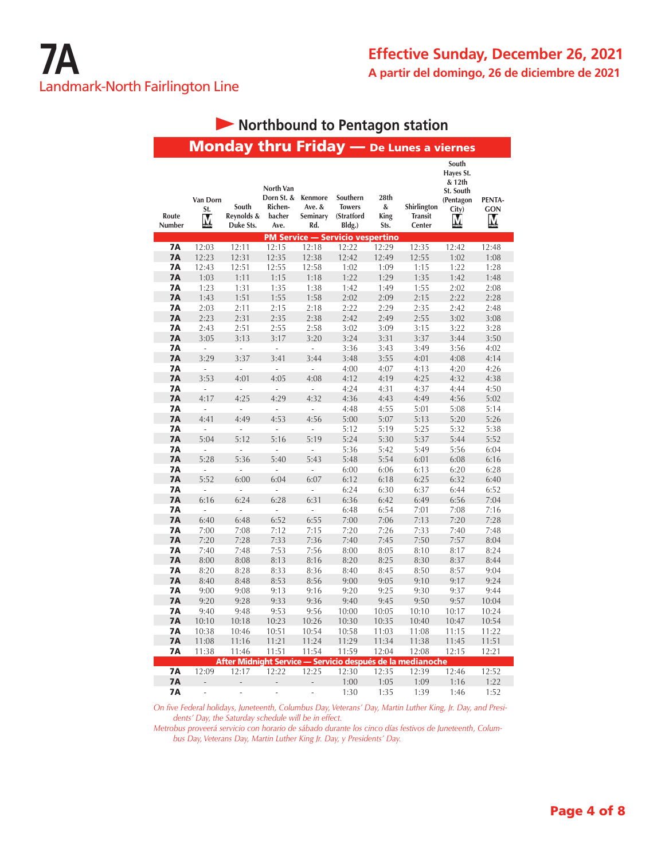|                        |                      |                                  |                                                      |                                             |                                                                                              |                                              | <b>Monday thru Friday</b> — De Lunes a viernes             |                                                                      |                           |
|------------------------|----------------------|----------------------------------|------------------------------------------------------|---------------------------------------------|----------------------------------------------------------------------------------------------|----------------------------------------------|------------------------------------------------------------|----------------------------------------------------------------------|---------------------------|
| Route<br>Number        | Van Dorn<br>St.<br>Μ | South<br>Reynolds &<br>Duke Sts. | North Van<br>Dorn St. &<br>Richen-<br>bacher<br>Ave. | <b>Kenmore</b><br>Ave. &<br>Seminary<br>Rd. | Southern<br><b>Towers</b><br>(Stratford<br>Bldg.)<br><b>PM Service — Servicio vespertino</b> | 28 <sub>th</sub><br>&<br><b>King</b><br>Sts. | Shirlington<br><b>Transit</b><br>Center                    | South<br>Hayes St.<br>& 12th<br>St. South<br>(Pentagon<br>City)<br>M | PENTA-<br><b>GON</b><br>M |
| <b>7A</b>              | 12:03                | 12:11                            | 12:15                                                | 12:18                                       | 12:22                                                                                        | 12:29                                        | 12:35                                                      | 12:42                                                                | 12:48                     |
| <b>7A</b>              | 12:23                | 12:31                            | 12:35                                                | 12:38                                       | 12:42                                                                                        | 12:49                                        | 12:55                                                      | 1:02                                                                 | 1:08                      |
| <b>7A</b>              | 12:43                | 12:51                            | 12:55                                                | 12:58                                       | 1:02                                                                                         | 1:09                                         | 1:15                                                       | 1:22                                                                 | 1:28                      |
| <b>7A</b>              | 1:03                 | 1:11                             | 1:15                                                 | 1:18                                        | 1:22                                                                                         | 1:29                                         | 1:35                                                       | 1:42                                                                 | 1:48                      |
| <b>7A</b>              | 1:23                 | 1:31                             | 1:35                                                 | 1:38                                        | 1:42                                                                                         | 1:49                                         | 1:55                                                       | 2:02                                                                 | 2:08                      |
| <b>7A</b>              | 1:43                 | 1:51                             | 1:55                                                 | 1:58                                        | 2:02                                                                                         | 2:09                                         | 2:15                                                       | 2:22                                                                 | 2:28                      |
| <b>7A</b>              | 2:03                 | 2:11                             | 2:15                                                 | 2:18                                        | 2:22                                                                                         | 2:29                                         | 2:35                                                       | 2:42                                                                 | 2:48                      |
| <b>7A</b>              | 2:23                 | 2:31                             | 2:35                                                 | 2:38                                        | 2:42                                                                                         | 2:49                                         | 2:55                                                       | 3:02                                                                 | 3:08                      |
| <b>7A</b>              | 2:43                 | 2:51                             | 2:55                                                 | 2:58                                        | 3:02                                                                                         | 3:09                                         | 3:15                                                       | 3:22                                                                 | 3:28                      |
| <b>7A</b>              | 3:05                 | 3:13                             | 3:17                                                 | 3:20                                        | 3:24                                                                                         | 3:31                                         | 3:37                                                       | 3:44                                                                 | 3:50                      |
| <b>7A</b>              | ä,                   | ä,                               | ÷,                                                   | ä,                                          | 3:36                                                                                         | 3:43                                         | 3:49                                                       | 3:56                                                                 | 4:02                      |
| <b>7A</b>              | 3:29                 | 3:37                             | 3:41                                                 | 3:44                                        | 3:48                                                                                         | 3:55                                         | 4:01                                                       | 4:08                                                                 | 4:14                      |
| <b>7A</b>              |                      |                                  |                                                      |                                             | 4:00                                                                                         | 4:07                                         | 4:13                                                       | 4:20                                                                 | 4:26                      |
| <b>7A</b>              | 3:53                 | 4:01                             | 4:05                                                 | 4:08                                        | 4:12                                                                                         | 4:19                                         | 4:25                                                       | 4:32                                                                 | 4:38                      |
| 7Α                     |                      |                                  | L,                                                   |                                             | 4:24                                                                                         | 4:31                                         | 4:37                                                       | 4:44                                                                 | 4:50                      |
| <b>7A</b>              | 4:17                 | 4:25                             | 4:29                                                 | 4:32                                        | 4:36                                                                                         | 4:43                                         | 4:49                                                       | 4:56                                                                 | 5:02                      |
| 7A                     |                      | L,                               |                                                      | L,                                          | 4:48                                                                                         | 4:55                                         | 5:01                                                       | 5:08                                                                 | 5:14                      |
| <b>7A</b>              | 4:41                 | 4:49                             | 4:53                                                 | 4:56                                        | 5:00                                                                                         | 5:07                                         | 5:13                                                       | 5:20                                                                 | 5:26                      |
| <b>7A</b>              |                      |                                  |                                                      |                                             | 5:12                                                                                         | 5:19                                         | 5:25                                                       | 5:32                                                                 | 5:38                      |
| <b>7A</b>              | 5:04                 | 5:12                             | 5:16                                                 | 5:19                                        | 5:24                                                                                         | 5:30                                         | 5:37                                                       | 5:44                                                                 | 5:52                      |
| <b>7A</b>              |                      |                                  | L                                                    |                                             | 5:36                                                                                         | 5:42                                         | 5:49                                                       | 5:56                                                                 | 6:04                      |
| <b>7A</b>              | 5:28                 | 5:36                             | 5:40                                                 | 5:43                                        | 5:48                                                                                         | 5:54                                         | 6:01                                                       | 6:08                                                                 | 6:16                      |
| <b>7A</b>              |                      |                                  |                                                      |                                             | 6:00                                                                                         | 6:06                                         | 6:13                                                       | 6:20                                                                 | 6:28                      |
| <b>7A</b>              | 5:52                 | 6:00                             | 6:04                                                 | 6:07                                        | 6:12                                                                                         | 6:18                                         | 6:25                                                       | 6:32                                                                 | 6:40                      |
| <b>7A</b>              | L.                   | $\overline{a}$                   | L.                                                   | ÷,                                          | 6:24                                                                                         | 6:30                                         | 6:37                                                       | 6:44                                                                 | 6:52                      |
| <b>7A</b>              | 6:16                 | 6:24                             | 6:28                                                 | 6:31                                        | 6:36                                                                                         | 6:42                                         | 6:49                                                       | 6:56                                                                 | 7:04                      |
| <b>7A</b>              |                      |                                  |                                                      |                                             | 6:48                                                                                         | 6:54                                         | 7:01                                                       | 7:08                                                                 | 7:16                      |
| <b>7A</b>              | 6:40                 | 6:48                             | 6:52                                                 | 6:55                                        | 7:00                                                                                         | 7:06                                         | 7:13                                                       | 7:20                                                                 | 7:28                      |
| <b>7A</b>              | 7:00                 | 7:08                             | 7:12                                                 | 7:15                                        | 7:20                                                                                         | 7:26                                         | 7:33                                                       | 7:40                                                                 | 7:48                      |
| <b>7A</b>              | 7:20                 | 7:28                             | 7:33                                                 | 7:36                                        | 7:40                                                                                         | 7:45                                         | 7:50                                                       | 7:57                                                                 | 8:04                      |
| 7A                     | 7:40                 | 7:48                             | 7:53                                                 | 7:56                                        | 8:00                                                                                         | 8:05                                         | 8:10                                                       | 8:17                                                                 | 8:24                      |
| <b>7A</b><br><b>7A</b> | 8:00                 | 8:08                             | 8:13                                                 | 8:16                                        | 8:20                                                                                         | 8:25                                         | 8:30                                                       | 8:37                                                                 | 8:44                      |
| <b>7A</b>              | 8:20                 | 8:28                             | 8:33<br>8:53                                         | 8:36<br>8:56                                | 8:40                                                                                         | 8:45<br>9:05                                 | 8:50<br>9:10                                               | 8:57<br>9:17                                                         | 9:04<br>9:24              |
| 7A                     | 8:40<br>9:00         | 8:48<br>9:08                     | 9:13                                                 | 9:16                                        | 9:00<br>9:20                                                                                 | 9:25                                         | 9:30                                                       | 9:37                                                                 | 9:44                      |
| <b>7A</b>              | 9:20                 | 9:28                             | 9:33                                                 | 9:36                                        | 9:40                                                                                         | 9:45                                         | 9:50                                                       | 9:57                                                                 | 10:04                     |
| <b>7A</b>              | 9:40                 | 9:48                             | 9:53                                                 | 9:56                                        | 10:00                                                                                        | 10:05                                        | 10:10                                                      | 10:17                                                                | 10:24                     |
| <b>7A</b>              | 10:10                | 10:18                            | 10:23                                                | 10:26                                       | 10:30                                                                                        | 10:35                                        | 10:40                                                      | 10:47                                                                | 10:54                     |
| <b>7A</b>              | 10:38                | 10:46                            | 10:51                                                | 10:54                                       | 10:58                                                                                        | 11:03                                        | 11:08                                                      | 11:15                                                                | 11:22                     |
| <b>7A</b>              | 11:08                | 11:16                            | 11:21                                                | 11:24                                       | 11:29                                                                                        | 11:34                                        | 11:38                                                      | 11:45                                                                | 11:51                     |
| <b>7A</b>              | 11:38                | 11:46                            | 11:51                                                | 11:54                                       | 11:59                                                                                        | 12:04                                        | 12:08                                                      | 12:15                                                                | 12:21                     |
|                        |                      |                                  |                                                      |                                             |                                                                                              |                                              | After Midnight Service — Servicio después de la medianoche |                                                                      |                           |
| <b>7A</b>              | 12:09                | 12:17                            | 12:22                                                | 12:25                                       | 12:30                                                                                        | 12:35                                        | 12:39                                                      | 12:46                                                                | 12:52                     |
| <b>7A</b>              |                      |                                  |                                                      |                                             | 1:00                                                                                         | 1:05                                         | 1:09                                                       | 1:16                                                                 | 1:22                      |
| 7Α                     |                      |                                  | L,                                                   |                                             | 1:30                                                                                         | 1:35                                         | 1:39                                                       | 1:46                                                                 | 1:52                      |

#### **• Northbound to Pentagon station**

*On five Federal holidays, Juneteenth, Columbus Day, Veterans' Day, Martin Luther King, Jr. Day, and Presidents' Day, the Saturday schedule will be in effect.*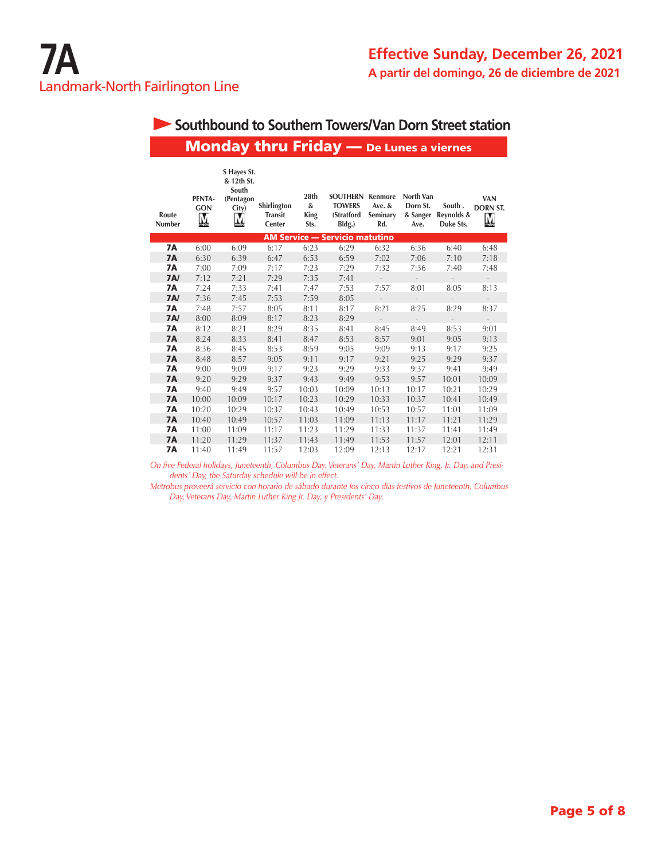## Monday thru Friday — De Lunes a viernes **• Southbound to Southern Towers/Van Dorn Street station**

| Route<br>Number | PENTA-<br><b>GON</b><br><u>M</u> | S Hayes St.<br>& 12th St.<br>South<br>(Pentagon<br>City) | Shirlington<br><b>Transit</b><br>Center | 28 <sub>th</sub><br>&<br><b>King</b><br>Sts. | <b>SOUTHERN</b><br><b>TOWERS</b><br>(Stratford<br>Bldg.) | <b>Kenmore</b><br>Ave. &<br>Seminary<br>Rd. | North Van<br>Dorn St.<br>& Sanger<br>Ave. | South.<br>Reynolds &<br>Duke Sts. | <b>VAN</b><br><b>DORN ST.</b><br>M |
|-----------------|----------------------------------|----------------------------------------------------------|-----------------------------------------|----------------------------------------------|----------------------------------------------------------|---------------------------------------------|-------------------------------------------|-----------------------------------|------------------------------------|
|                 |                                  |                                                          |                                         |                                              | <b>AM Service - Servicio matutino</b>                    |                                             |                                           |                                   |                                    |
| <b>7A</b>       | 6:00                             | 6:09                                                     | 6:17                                    | 6:23                                         | 6:29                                                     | 6:32                                        | 6:36                                      | 6:40                              | 6:48                               |
| <b>7A</b>       | 6:30                             | 6:39                                                     | 6:47                                    | 6:53                                         | 6:59                                                     | 7:02                                        | 7:06                                      | 7:10                              | 7:18                               |
| <b>7A</b>       | 7:00                             | 7:09                                                     | 7:17                                    | 7:23                                         | 7:29                                                     | 7:32                                        | 7:36                                      | 7:40                              | 7:48                               |
| 7A              | 7:12                             | 7:21                                                     | 7:29                                    | 7:35                                         | 7:41                                                     | $\overline{\phantom{a}}$                    | $\overline{\phantom{m}}$                  | $\overline{\phantom{0}}$          | $\overline{\phantom{a}}$           |
| 7A              | 7:24                             | 7:33                                                     | 7:41                                    | 7:47                                         | 7:53                                                     | 7:57                                        | 8:01                                      | 8:05                              | 8:13                               |
| 7A              | 7:36                             | 7:45                                                     | 7:53                                    | 7:59                                         | 8:05                                                     | $\overline{a}$                              | $\qquad \qquad -$                         |                                   |                                    |
| <b>7A</b>       | 7:48                             | 7:57                                                     | 8:05                                    | 8:11                                         | 8:17                                                     | 8:21                                        | 8:25                                      | 8:29                              | 8:37                               |
| 7A/             | 8:00                             | 8:09                                                     | 8:17                                    | 8:23                                         | 8:29                                                     | $\overline{\phantom{a}}$                    | $\overline{\phantom{a}}$                  | $\overline{\phantom{a}}$          | $\overline{\phantom{a}}$           |
| <b>7A</b>       | 8:12                             | 8:21                                                     | 8:29                                    | 8:35                                         | 8:41                                                     | 8:45                                        | 8:49                                      | 8:53                              | 9:01                               |
| <b>7A</b>       | 8:24                             | 8:33                                                     | 8:41                                    | 8:47                                         | 8:53                                                     | 8:57                                        | 9:01                                      | 9:05                              | 9:13                               |
| <b>7A</b>       | 8:36                             | 8:45                                                     | 8:53                                    | 8:59                                         | 9:05                                                     | 9:09                                        | 9:13                                      | 9:17                              | 9:25                               |
| <b>7A</b>       | 8:48                             | 8:57                                                     | 9:05                                    | 9:11                                         | 9:17                                                     | 9:21                                        | 9:25                                      | 9:29                              | 9:37                               |
| <b>7A</b>       | 9:00                             | 9:09                                                     | 9:17                                    | 9:23                                         | 9:29                                                     | 9:33                                        | 9:37                                      | 9:41                              | 9:49                               |
| <b>7A</b>       | 9:20                             | 9:29                                                     | 9:37                                    | 9:43                                         | 9:49                                                     | 9:53                                        | 9:57                                      | 10:01                             | 10:09                              |
| <b>7A</b>       | 9:40                             | 9:49                                                     | 9:57                                    | 10:03                                        | 10:09                                                    | 10:13                                       | 10:17                                     | 10:21                             | 10:29                              |
| <b>7A</b>       | 10:00                            | 10:09                                                    | 10:17                                   | 10:23                                        | 10:29                                                    | 10:33                                       | 10:37                                     | 10:41                             | 10:49                              |
| 7A              | 10:20                            | 10:29                                                    | 10:37                                   | 10:43                                        | 10:49                                                    | 10:53                                       | 10:57                                     | 11:01                             | 11:09                              |
| <b>7A</b>       | 10:40                            | 10:49                                                    | 10:57                                   | 11:03                                        | 11:09                                                    | 11:13                                       | 11:17                                     | 11:21                             | 11:29                              |
| <b>7A</b>       | 11:00                            | 11:09                                                    | 11:17                                   | 11:23                                        | 11:29                                                    | 11:33                                       | 11:37                                     | 11:41                             | 11:49                              |
| <b>7A</b>       | 11:20                            | 11:29                                                    | 11:37                                   | 11:43                                        | 11:49                                                    | 11:53                                       | 11:57                                     | 12:01                             | 12:11                              |
| <b>7A</b>       | 11:40                            | 11:49                                                    | 11:57                                   | 12:03                                        | 12:09                                                    | 12:13                                       | 12:17                                     | 12:21                             | 12:31                              |

*On five Federal holidays, Juneteenth, Columbus Day, Veterans' Day, Martin Luther King, Jr. Day, and Presidents' Day, the Saturday schedule will be in effect.*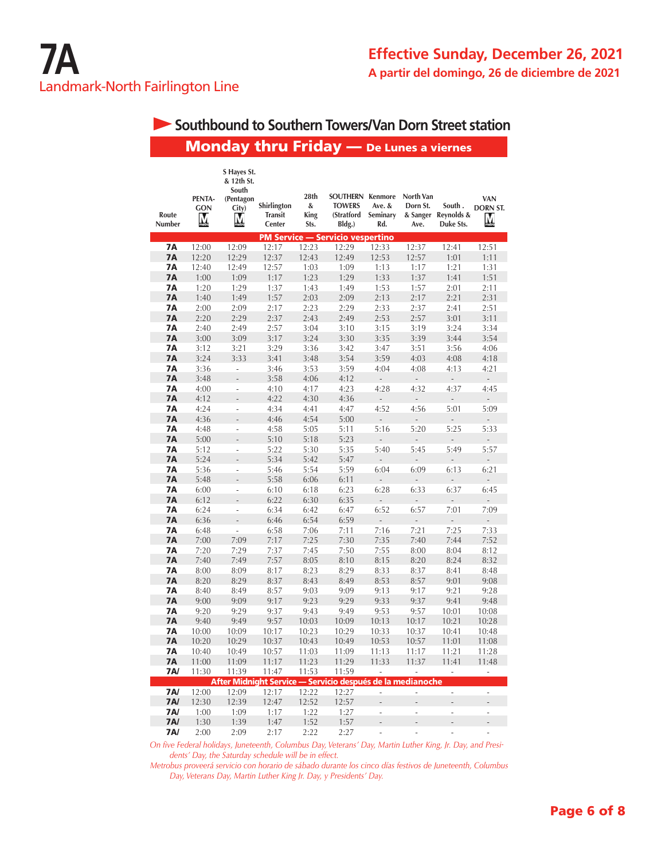## Monday thru Friday — De Lunes a viernes **Southbound to Southern Towers/Van Dorn Street station**

|                          |                           | S Hayes St.<br>& 12th St.<br>South |                                         | 28th              | SOUTHERN                                                   | <b>Kenmore</b>            | North Van                    |                                            |                             |
|--------------------------|---------------------------|------------------------------------|-----------------------------------------|-------------------|------------------------------------------------------------|---------------------------|------------------------------|--------------------------------------------|-----------------------------|
| Route<br>Number          | PENTA-<br><b>GON</b><br>M | (Pentagon<br>City)<br>M            | Shirlington<br><b>Transit</b><br>Center | &<br>King<br>Sts. | <b>TOWERS</b><br>(Stratford<br>Bldg.)                      | Ave. &<br>Seminary<br>Rd. | Dorn St.<br>Ave.             | South.<br>& Sanger Reynolds &<br>Duke Sts. | VAN<br><b>DORN ST.</b><br>Ņ |
|                          |                           |                                    |                                         |                   | <b>PM Service - Servicio vespertino</b>                    |                           |                              |                                            |                             |
| <b>7A</b>                | 12:00                     | 12:09                              | 12:17                                   | 12:23             | 12:29                                                      | 12:33                     | 12:37                        | 12:41                                      | 12:51                       |
| <b>7A</b>                | 12:20                     | 12:29                              | 12:37                                   | 12:43             | 12:49                                                      | 12:53                     | 12:57                        | 1:01                                       | 1:11                        |
| 7A                       | 12:40<br>1:00             | 12:49                              | 12:57                                   | 1:03              | 1:09                                                       | 1:13                      | 1:17                         | 1:21                                       | 1:31                        |
| <b>7A</b><br>7A          | 1:20                      | 1:09<br>1:29                       | 1:17<br>1:37                            | 1:23<br>1:43      | 1:29<br>1:49                                               | 1:33<br>1:53              | 1:37<br>1:57                 | 1:41<br>2:01                               | 1:51<br>2:11                |
| <b>7A</b>                | 1:40                      | 1:49                               | 1:57                                    | 2:03              | 2:09                                                       | 2:13                      | 2:17                         | 2:21                                       | 2:31                        |
| 7A                       | 2:00                      | 2:09                               | 2:17                                    | 2:23              | 2:29                                                       | 2:33                      | 2:37                         | 2:41                                       | 2:51                        |
| <b>7A</b>                | 2:20                      | 2:29                               | 2:37                                    | 2:43              | 2:49                                                       | 2:53                      | 2:57                         | 3:01                                       | 3:11                        |
| 7A                       | 2:40                      | 2:49                               | 2:57                                    | 3:04              | 3:10                                                       | 3:15                      | 3:19                         | 3:24                                       | 3:34                        |
| <b>7A</b>                | 3:00                      | 3:09                               | 3:17                                    | 3:24              | 3:30                                                       | 3:35                      | 3:39                         | 3:44                                       | 3:54                        |
| 7Α                       | 3:12                      | 3:21                               | 3:29                                    | 3:36              | 3:42                                                       | 3:47                      | 3:51                         | 3:56                                       | 4:06                        |
| <b>7A</b>                | 3:24                      | 3:33                               | 3:41                                    | 3:48              | 3:54                                                       | 3:59                      | 4:03                         | 4:08                                       | 4:18                        |
| 7Α                       | 3:36                      | i,                                 | 3:46                                    | 3:53              | 3:59                                                       | 4:04                      | 4:08                         | 4:13                                       | 4:21                        |
| <b>7A</b>                | 3:48                      | $\overline{a}$                     | 3:58                                    | 4:06              | 4:12                                                       | ÷,                        | $\qquad \qquad \blacksquare$ | $\qquad \qquad \blacksquare$               | $\blacksquare$              |
| <b>7A</b>                | 4:00                      | ÷,                                 | 4:10                                    | 4:17              | 4:23                                                       | 4:28                      | 4:32                         | 4:37                                       | 4:45                        |
| <b>7A</b>                | 4:12                      | $\frac{1}{2}$                      | 4:22                                    | 4:30              | 4:36                                                       | $\frac{1}{2}$             | $\overline{\phantom{m}}$     | $\frac{1}{2}$                              | $\qquad \qquad -$           |
| 7Α                       | 4:24                      | L,                                 | 4:34                                    | 4:41              | 4:47                                                       | 4:52                      | 4:56                         | 5:01                                       | 5:09                        |
| <b>7A</b>                | 4:36                      |                                    | 4:46                                    | 4:54              | 5:00                                                       | ÷,                        | $\frac{1}{2}$                | $\overline{a}$                             | $\overline{\phantom{a}}$    |
| 7A<br><b>7A</b>          | 4:48                      | $\overline{a}$                     | 4:58                                    | 5:05              | 5:11<br>5:23                                               | 5:16<br>$\overline{a}$    | 5:20                         | 5:25                                       | 5:33                        |
| 7A                       | 5:00<br>5:12              | $\overline{a}$<br>ä,               | 5:10<br>5:22                            | 5:18<br>5:30      | 5:35                                                       | 5:40                      | $\overline{a}$<br>5:45       | $\overline{a}$<br>5:49                     | $\qquad \qquad -$<br>5:57   |
| <b>7A</b>                | 5:24                      |                                    | 5:34                                    | 5:42              | 5:47                                                       |                           |                              |                                            |                             |
| 7A                       | 5:36                      | $\overline{a}$                     | 5:46                                    | 5:54              | 5:59                                                       | 6:04                      | 6:09                         | 6:13                                       | 6:21                        |
| <b>7A</b>                | 5:48                      | L,                                 | 5:58                                    | 6:06              | 6:11                                                       | $\overline{\phantom{a}}$  | $\overline{\phantom{m}}$     | $\overline{\phantom{a}}$                   | $\overline{\phantom{a}}$    |
| 7Α                       | 6:00                      | $\overline{a}$                     | 6:10                                    | 6:18              | 6:23                                                       | 6:28                      | 6:33                         | 6:37                                       | 6:45                        |
| <b>7A</b>                | 6:12                      | $\qquad \qquad \blacksquare$       | 6:22                                    | 6:30              | 6:35                                                       |                           | ÷,                           |                                            |                             |
| 7A                       | 6:24                      | i,                                 | 6:34                                    | 6:42              | 6:47                                                       | 6:52                      | 6:57                         | 7:01                                       | 7:09                        |
| <b>7A</b>                | 6:36                      | $\overline{a}$                     | 6:46                                    | 6:54              | 6:59                                                       |                           | $\overline{a}$               | ÷,                                         | ÷,                          |
| 7Α                       | 6:48                      | $\overline{a}$                     | 6:58                                    | 7:06              | 7:11                                                       | 7:16                      | 7:21                         | 7:25                                       | 7:33                        |
| <b>7A</b>                | 7:00                      | 7:09                               | 7:17                                    | 7:25              | 7:30                                                       | 7:35                      | 7:40                         | 7:44                                       | 7:52                        |
| 7Α                       | 7:20                      | 7:29                               | 7:37                                    | 7:45              | 7:50                                                       | 7:55                      | 8:00                         | 8:04                                       | 8:12                        |
| <b>7A</b>                | 7:40                      | 7:49                               | 7:57                                    | 8:05              | 8:10                                                       | 8:15                      | 8:20                         | 8:24                                       | 8:32                        |
| 7Α                       | 8:00                      | 8:09                               | 8:17                                    | 8:23              | 8:29                                                       | 8:33                      | 8:37                         | 8:41                                       | 8:48                        |
| <b>7A</b>                | 8:20                      | 8:29                               | 8:37                                    | 8:43              | 8:49                                                       | 8:53                      | 8:57                         | 9:01                                       | 9:08                        |
| <b>7A</b><br><b>7A</b>   | 8:40<br>9:00              | 8:49<br>9:09                       | 8:57<br>9:17                            | 9:03<br>9:23      | 9:09<br>9:29                                               | 9:13<br>9:33              | 9:17<br>9:37                 | 9:21<br>9:41                               | 9:28<br>9:48                |
| 7Α                       | 9:20                      | 9:29                               | 9:37                                    | 9:43              | 9:49                                                       | 9:53                      | 9:57                         | 10:01                                      | 10:08                       |
| <b>7A</b>                | 9:40                      | 9:49                               | 9:57                                    | 10:03             | 10:09                                                      | 10:13                     | 10:17                        | 10:21                                      | 10:28                       |
| 7Α                       | 10:00                     | 10:09                              | 10:17                                   | 10:23             | 10:29                                                      | 10:33                     | 10:37                        | 10:41                                      | 10:48                       |
| <b>7A</b>                | 10:20                     | 10:29                              | 10:37                                   | 10:43             | 10:49                                                      | 10:53                     | 10:57                        | 11:01                                      | 11:08                       |
| 7Α                       | 10:40                     | 10:49                              | 10:57                                   | 11:03             | 11:09                                                      | 11:13                     | 11:17                        | 11:21                                      | 11:28                       |
| <b>7A</b>                | 11:00                     | 11:09                              | 11:17                                   | 11:23             | 11:29                                                      | 11:33                     | 11:37                        | 11:41                                      | 11:48                       |
| 7A/                      | 11:30                     | 11:39                              | 11:47                                   | 11:53             | 11:59                                                      |                           |                              |                                            | $\overline{a}$              |
|                          |                           |                                    |                                         |                   | After Midnight Service - Servicio después de la medianoche |                           |                              |                                            |                             |
| 7A/                      | 12:00                     | 12:09                              | 12:17                                   | 12:22             | 12:27                                                      | $\overline{a}$            | $\overline{a}$               | $\overline{a}$                             | ä,                          |
| 7A/                      | 12:30                     | 12:39                              | 12:47                                   | 12:52             | 12:57                                                      | ÷,                        | $\overline{a}$               | ÷,                                         | $\frac{1}{2}$               |
| 7A/                      | 1:00                      | 1:09                               | 1:17                                    | 1:22              | 1:27                                                       |                           |                              | ÷,                                         |                             |
| <b>7A/</b><br><b>7A/</b> | 1:30<br>2:00              | 1:39<br>2:09                       | 1:47<br>2:17                            | 1:52<br>2:22      | 1:57<br>2:27                                               | -                         | $\frac{1}{2}$                | -<br>÷,                                    |                             |
|                          |                           |                                    |                                         |                   |                                                            | ÷,                        | ÷,                           |                                            | $\frac{1}{2}$               |

*On five Federal holidays, Juneteenth, Columbus Day, Veterans' Day, Martin Luther King, Jr. Day, and Presidents' Day, the Saturday schedule will be in effect.*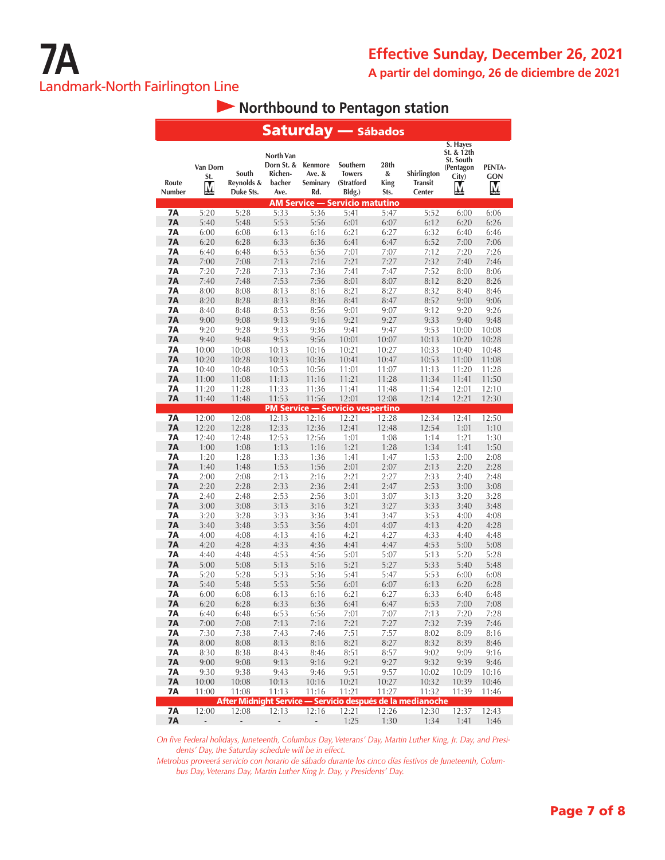# **7A** Landmark-North Fairlington Line

### **• Northbound to Pentagon station**

|                 |                              |                                  | <b>Saturday</b> — Sábados                                  |                                             |                                                   |                           |                                         |                                                                |                           |
|-----------------|------------------------------|----------------------------------|------------------------------------------------------------|---------------------------------------------|---------------------------------------------------|---------------------------|-----------------------------------------|----------------------------------------------------------------|---------------------------|
| Route<br>Number | Van Dorn<br>St.<br>${\bf M}$ | South<br>Reynolds &<br>Duke Sts. | North Van<br>Dorn St. &<br>Richen-<br>bacher<br>Ave.       | <b>Kenmore</b><br>Ave. &<br>Seminary<br>Rd. | Southern<br><b>Towers</b><br>(Stratford<br>Bldg.) | 28th<br>&<br>King<br>Sts. | Shirlington<br><b>Transit</b><br>Center | S. Hayes<br>St. & 12th<br>St. South<br>(Pentagon<br>City)<br>M | PENTA-<br><b>GON</b><br>M |
| <b>7A</b>       | 5:20                         | 5:28                             | 5:33                                                       | 5:36                                        | <b>AM Service — Servicio matutino</b><br>5:41     | 5:47                      | 5:52                                    | 6:00                                                           | 6:06                      |
| <b>7A</b>       | 5:40                         | 5:48                             | 5:53                                                       | 5:56                                        | 6:01                                              | 6:07                      | 6:12                                    | 6:20                                                           | 6:26                      |
| <b>7A</b>       | 6:00                         | 6:08                             | 6:13                                                       | 6:16                                        | 6:21                                              | 6:27                      | 6:32                                    | 6:40                                                           | 6:46                      |
| <b>7A</b>       | 6:20                         | 6:28                             | 6:33                                                       | 6:36                                        | 6:41                                              | 6:47                      | 6:52                                    | 7:00                                                           | 7:06                      |
| 7A              | 6:40                         | 6:48                             | 6:53                                                       | 6:56                                        | 7:01                                              | 7:07                      | 7:12                                    | 7:20                                                           | 7:26                      |
| <b>7A</b>       | 7:00                         | 7:08                             | 7:13                                                       | 7:16                                        | 7:21                                              | 7:27                      | 7:32                                    | 7:40                                                           | 7:46                      |
| <b>7A</b>       | 7:20                         | 7:28                             | 7:33                                                       | 7:36                                        | 7:41                                              | 7:47                      | 7:52                                    | 8:00                                                           | 8:06                      |
| <b>7A</b>       | 7:40                         | 7:48                             | 7:53                                                       | 7:56                                        | 8:01                                              | 8:07                      | 8:12                                    | 8:20                                                           | 8:26                      |
| 7A              | 8:00                         | 8:08                             | 8:13                                                       | 8:16                                        | 8:21                                              | 8:27                      | 8:32                                    | 8:40                                                           | 8:46                      |
| <b>7A</b>       | 8:20                         | 8:28                             | 8:33                                                       | 8:36                                        | 8:41                                              | 8:47                      | 8:52                                    | 9:00                                                           | 9:06                      |
| <b>7A</b>       | 8:40                         | 8:48                             | 8:53                                                       | 8:56                                        | 9:01                                              | 9:07                      | 9:12                                    | 9:20                                                           | 9:26                      |
| <b>7A</b>       | 9:00                         | 9:08                             | 9:13                                                       | 9:16                                        | 9:21                                              | 9:27                      | 9:33                                    | 9:40                                                           | 9:48                      |
| 7A              | 9:20                         | 9:28                             | 9:33                                                       | 9:36                                        | 9:41                                              | 9:47                      | 9:53                                    | 10:00                                                          | 10:08                     |
| <b>7A</b>       | 9:40                         | 9:48                             | 9:53                                                       | 9:56                                        | 10:01                                             | 10:07                     | 10:13                                   | 10:20                                                          | 10:28                     |
| <b>7A</b>       | 10:00                        | 10:08                            | 10:13                                                      | 10:16                                       | 10:21                                             | 10:27                     | 10:33                                   | 10:40                                                          | 10:48                     |
| <b>7A</b>       | 10:20                        | 10:28                            | 10:33                                                      | 10:36                                       | 10:41                                             | 10:47                     | 10:53                                   | 11:00                                                          | 11:08                     |
| 7A              | 10:40                        | 10:48                            | 10:53                                                      | 10:56                                       | 11:01                                             | 11:07                     | 11:13                                   | 11:20                                                          | 11:28                     |
| <b>7A</b>       | 11:00                        | 11:08                            | 11:13                                                      | 11:16                                       | 11:21                                             | 11:28                     | 11:34                                   | 11:41                                                          | 11:50                     |
| <b>7A</b>       | 11:20                        | 11:28                            | 11:33                                                      | 11:36                                       | 11:41                                             | 11:48                     | 11:54                                   | 12:01                                                          | 12:10                     |
| <b>7A</b>       | 11:40                        | 11:48                            | 11:53                                                      | 11:56                                       | 12:01                                             | 12:08                     | 12:14                                   | 12:21                                                          | 12:30                     |
|                 |                              |                                  |                                                            |                                             | <b>PM Service — Servicio vespertino</b>           |                           |                                         |                                                                |                           |
| 7Α              | 12:00                        | 12:08                            | 12:13                                                      | 12:16                                       | 12:21                                             | 12:28                     | 12:34                                   | 12:41                                                          | 12:50                     |
| <b>7A</b><br>7Α | 12:20                        | 12:28                            | 12:33<br>12:53                                             | 12:36                                       | 12:41                                             | 12:48                     | 12:54                                   | 1:01                                                           | 1:10                      |
| <b>7A</b>       | 12:40<br>1:00                | 12:48<br>1:08                    | 1:13                                                       | 12:56<br>1:16                               | 1:01<br>1:21                                      | 1:08<br>1:28              | 1:14<br>1:34                            | 1:21<br>1:41                                                   | 1:30<br>1:50              |
| 7Α              | 1:20                         | 1:28                             | 1:33                                                       | 1:36                                        | 1:41                                              | 1:47                      | 1:53                                    | 2:00                                                           | 2:08                      |
| <b>7A</b>       | 1:40                         | 1:48                             | 1:53                                                       | 1:56                                        | 2:01                                              | 2:07                      | 2:13                                    | 2:20                                                           | 2:28                      |
| 7Α              | 2:00                         | 2:08                             | 2:13                                                       | 2:16                                        | 2:21                                              | 2:27                      | 2:33                                    | 2:40                                                           | 2:48                      |
| <b>7A</b>       | 2:20                         | 2:28                             | 2:33                                                       | 2:36                                        | 2:41                                              | 2:47                      | 2:53                                    | 3:00                                                           | 3:08                      |
| 7Α              | 2:40                         | 2:48                             | 2:53                                                       | 2:56                                        | 3:01                                              | 3:07                      | 3:13                                    | 3:20                                                           | 3:28                      |
| <b>7A</b>       | 3:00                         | 3:08                             | 3:13                                                       | 3:16                                        | 3:21                                              | 3:27                      | 3:33                                    | 3:40                                                           | 3:48                      |
| 7Α              | 3:20                         | 3:28                             | 3:33                                                       | 3:36                                        | 3:41                                              | 3:47                      | 3:53                                    | 4:00                                                           | 4:08                      |
| <b>7A</b>       | 3:40                         | 3:48                             | 3:53                                                       | 3:56                                        | 4:01                                              | 4:07                      | 4:13                                    | 4:20                                                           | 4:28                      |
| 7Α              | 4:00                         | 4:08                             | 4:13                                                       | 4:16                                        | 4:21                                              | 4:27                      | 4:33                                    | 4:40                                                           | 4:48                      |
| <b>7A</b>       | 4:20                         | 4:28                             | 4:33                                                       | 4:36                                        | 4:41                                              | 4:47                      | 4:53                                    | 5:00                                                           | 5:08                      |
| 7Α              | 4:40                         | 4:48                             | 4:53                                                       | 4:56                                        | 5:01                                              | 5:07                      | 5:13                                    | 5:20                                                           | 5:28                      |
| <b>7A</b>       | 5:00                         | 5:08                             | 5:13                                                       | 5:16                                        | 5:21                                              | 5:27                      | 5:33                                    | 5:40                                                           | 5:48                      |
| 7Α              | 5:20                         | 5:28                             | 5:33                                                       | 5:36                                        | 5:41                                              | 5:47                      | 5:53                                    | 6:00                                                           | 6:08                      |
| <b>7A</b>       | 5:40                         | 5:48                             | 5:53                                                       | 5:56                                        | 6:01                                              | 6:07                      | 6:13                                    | 6:20                                                           | 6:28                      |
| 7Α<br>7A        | 6:00<br>6:20                 | 6:08<br>6:28                     | 6:13<br>6:33                                               | 6:16<br>6:36                                | 6:21<br>6:41                                      | 6:27<br>6:47              | 6:33<br>6:53                            | 6:40<br>7:00                                                   | 6:48<br>7:08              |
| 7Α              | 6:40                         |                                  |                                                            |                                             | 7:01                                              | 7:07                      |                                         | 7:20                                                           |                           |
| 7Α              | 7:00                         | 6:48<br>7:08                     | 6:53<br>7:13                                               | 6:56<br>7:16                                | 7:21                                              | 7:27                      | 7:13<br>7:32                            | 7:39                                                           | 7:28<br>7:46              |
| <b>7A</b>       | 7:30                         | 7:38                             | 7:43                                                       | 7:46                                        | 7:51                                              | 7:57                      | 8:02                                    | 8:09                                                           | 8:16                      |
| <b>7A</b>       | 8:00                         | 8:08                             | 8:13                                                       | 8:16                                        | 8:21                                              | 8:27                      | 8:32                                    | 8:39                                                           | 8:46                      |
| <b>7A</b>       | 8:30                         | 8:38                             | 8:43                                                       | 8:46                                        | 8:51                                              | 8:57                      | 9:02                                    | 9:09                                                           | 9:16                      |
| <b>7A</b>       | 9:00                         | 9:08                             | 9:13                                                       | 9:16                                        | 9:21                                              | 9:27                      | 9:32                                    | 9:39                                                           | 9:46                      |
| <b>7A</b>       | 9:30                         | 9:38                             | 9:43                                                       | 9:46                                        | 9:51                                              | 9:57                      | 10:02                                   | 10:09                                                          | 10:16                     |
| <b>7A</b>       | 10:00                        | 10:08                            | 10:13                                                      | 10:16                                       | 10:21                                             | 10:27                     | 10:32                                   | 10:39                                                          | 10:46                     |
| 7A              | 11:00                        | 11:08                            | 11:13                                                      | 11:16                                       | 11:21                                             | 11:27                     | 11:32                                   | 11:39                                                          | 11:46                     |
|                 |                              |                                  | After Midnight Service — Servicio después de la medianoche |                                             |                                                   |                           |                                         |                                                                |                           |
| <b>7A</b>       | 12:00                        | 12:08                            | 12:13                                                      | 12:16                                       | 12:21                                             | 12:26                     | 12:30                                   | 12:37                                                          | 12:43                     |
| <b>7A</b>       | $\frac{1}{2}$                | ÷,                               | $\frac{1}{2}$                                              | $\frac{1}{2}$                               | 1:25                                              | 1:30                      | 1:34                                    | 1:41                                                           | 1:46                      |

*On five Federal holidays, Juneteenth, Columbus Day, Veterans' Day, Martin Luther King, Jr. Day, and Presidents' Day, the Saturday schedule will be in effect.*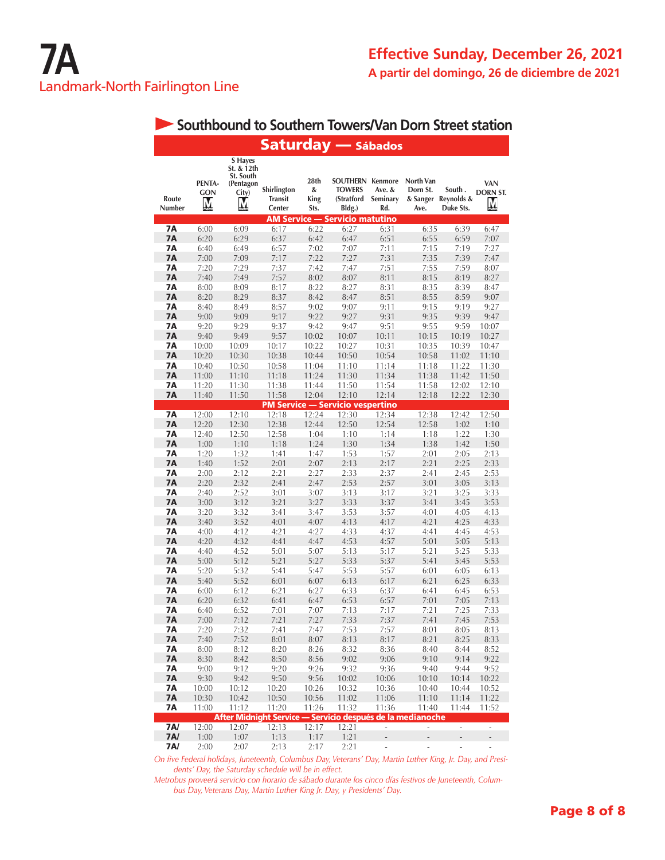|                 |                           |                                                                      |                                         |                                  | Saturday — Sábados                                               |                           |                               |                                             |                                    |
|-----------------|---------------------------|----------------------------------------------------------------------|-----------------------------------------|----------------------------------|------------------------------------------------------------------|---------------------------|-------------------------------|---------------------------------------------|------------------------------------|
| Route<br>Number | PENTA-<br><b>GON</b><br>M | <b>S</b> Hayes<br>St. & 12th<br>St. South<br>(Pentagon<br>City)<br>M | Shirlington<br><b>Transit</b><br>Center | 28th<br>&<br><b>King</b><br>Sts. | <b>SOUTHERN Kenmore</b><br><b>TOWERS</b><br>(Stratford<br>Bldg.) | Ave. &<br>Seminary<br>Rd. | North Van<br>Dorn St.<br>Ave. | South .<br>& Sanger Reynolds &<br>Duke Sts. | <b>VAN</b><br><b>DORN ST.</b><br>Μ |
|                 |                           |                                                                      |                                         |                                  | AM Service — Servicio matutino                                   |                           |                               |                                             |                                    |
| 7Α              | 6:00                      | 6:09                                                                 | 6:17                                    | 6:22                             | 6:27                                                             | 6:31                      | 6:35                          | 6:39                                        | 6:47                               |
| <b>7A</b><br>7Α | 6:20                      | 6:29                                                                 | 6:37                                    | 6:42                             | 6:47                                                             | 6:51                      | 6:55                          | 6:59                                        | 7:07                               |
| <b>7A</b>       | 6:40<br>7:00              | 6:49<br>7:09                                                         | 6:57<br>7:17                            | 7:02<br>7:22                     | 7:07<br>7:27                                                     | 7:11<br>7:31              | 7:15<br>7:35                  | 7:19<br>7:39                                | 7:27<br>7:47                       |
| 7Α              | 7:20                      | 7:29                                                                 | 7:37                                    | 7:42                             | 7:47                                                             | 7:51                      | 7:55                          | 7:59                                        | 8:07                               |
| <b>7A</b>       | 7:40                      | 7:49                                                                 | 7:57                                    | 8:02                             | 8:07                                                             | 8:11                      | 8:15                          | 8:19                                        | 8:27                               |
| 7Α              | 8:00                      | 8:09                                                                 | 8:17                                    | 8:22                             | 8:27                                                             | 8:31                      | 8:35                          | 8:39                                        | 8:47                               |
| <b>7A</b>       | 8:20                      | 8:29                                                                 | 8:37                                    | 8:42                             | 8:47                                                             | 8:51                      | 8:55                          | 8:59                                        | 9:07                               |
| 7Α              | 8:40                      | 8:49                                                                 | 8:57                                    | 9:02                             | 9:07                                                             | 9:11                      | 9:15                          | 9:19                                        | 9:27                               |
| <b>7A</b>       | 9:00                      | 9:09                                                                 | 9:17                                    | 9:22                             | 9:27                                                             | 9:31                      | 9:35                          | 9:39                                        | 9:47                               |
| 7Α              | 9:20                      | 9:29                                                                 | 9:37                                    | 9:42                             | 9:47                                                             | 9:51                      | 9:55                          | 9:59                                        | 10:07                              |
| <b>7A</b>       | 9:40                      | 9:49                                                                 | 9:57                                    | 10:02                            | 10:07                                                            | 10:11                     | 10:15                         | 10:19                                       | 10:27                              |
| 7Α              | 10:00                     | 10:09                                                                | 10:17                                   | 10:22                            | 10:27                                                            | 10:31                     | 10:35                         | 10:39                                       | 10:47                              |
| <b>7A</b>       | 10:20                     | 10:30                                                                | 10:38                                   | 10:44                            | 10:50                                                            | 10:54                     | 10:58                         | 11:02                                       | 11:10                              |
| 7Α              | 10:40                     | 10:50                                                                | 10:58                                   | 11:04                            | 11:10                                                            | 11:14                     | 11:18                         | 11:22                                       | 11:30                              |
| <b>7A</b>       | 11:00                     | 11:10                                                                | 11:18                                   | 11:24                            | 11:30                                                            | 11:34                     | 11:38                         | 11:42                                       | 11:50                              |
| 7Α              | 11:20                     | 11:30                                                                | 11:38                                   | 11:44                            | 11:50                                                            | 11:54                     | 11:58                         | 12:02                                       | 12:10                              |
| <b>7A</b>       | 11:40                     | 11:50                                                                | 11:58                                   | 12:04                            | 12:10                                                            | 12:14                     | 12:18                         | 12:22                                       | 12:30                              |
|                 |                           |                                                                      |                                         |                                  | <b>PM Service - Servicio vespertino</b>                          |                           |                               |                                             |                                    |
| 7Α              | 12:00                     | 12:10                                                                | 12:18                                   | 12:24                            | 12:30                                                            | 12:34                     | 12:38                         | 12:42                                       | 12:50                              |
| <b>7A</b>       | 12:20                     | 12:30                                                                | 12:38                                   | 12:44                            | 12:50                                                            | 12:54                     | 12:58                         | 1:02                                        | 1:10                               |
| 7Α              | 12:40                     | 12:50                                                                | 12:58                                   | 1:04                             | 1:10                                                             | 1:14                      | 1:18                          | 1:22                                        | 1:30                               |
| <b>7A</b>       | 1:00                      | 1:10                                                                 | 1:18                                    | 1:24                             | 1:30                                                             | 1:34                      | 1:38                          | 1:42                                        | 1:50                               |
| 7Α              | 1:20                      | 1:32                                                                 | 1:41                                    | 1:47                             | 1:53                                                             | 1:57                      | 2:01                          | 2:05                                        | 2:13                               |
| <b>7A</b>       | 1:40                      | 1:52                                                                 | 2:01                                    | 2:07                             | 2:13                                                             | 2:17                      | 2:21                          | 2:25                                        | 2:33                               |
| 7Α<br><b>7A</b> | 2:00                      | 2:12                                                                 | 2:21                                    | 2:27                             | 2:33                                                             | 2:37                      | 2:41                          | 2:45                                        | 2:53                               |
| 7Α              | 2:20<br>2:40              | 2:32<br>2:52                                                         | 2:41<br>3:01                            | 2:47<br>3:07                     | 2:53<br>3:13                                                     | 2:57<br>3:17              | 3:01<br>3:21                  | 3:05<br>3:25                                | 3:13<br>3:33                       |
| <b>7A</b>       | 3:00                      | 3:12                                                                 | 3:21                                    | 3:27                             | 3:33                                                             | 3:37                      | 3:41                          | 3:45                                        | 3:53                               |
| 7Α              | 3:20                      | 3:32                                                                 | 3:41                                    | 3:47                             | 3:53                                                             | 3:57                      | 4:01                          | 4:05                                        | 4:13                               |
| <b>7A</b>       | 3:40                      | 3:52                                                                 | 4:01                                    | 4:07                             | 4:13                                                             | 4:17                      | 4:21                          | 4:25                                        | 4:33                               |
| 7Α              | 4:00                      | 4:12                                                                 | 4:21                                    | 4:27                             | 4:33                                                             | 4:37                      | 4:41                          | 4:45                                        | 4:53                               |
| <b>7A</b>       | 4:20                      | 4:32                                                                 | 4:41                                    | 4:47                             | 4:53                                                             | 4:57                      | 5:01                          | 5:05                                        | 5:13                               |
| 7Α              | 4:40                      | 4:52                                                                 | 5:01                                    | 5:07                             | 5:13                                                             | 5:17                      | 5:21                          | 5:25                                        | 5:33                               |
| <b>7A</b>       | 5:00                      | 5:12                                                                 | 5:21                                    | 5:27                             | 5:33                                                             | 5:37                      | 5:41                          | 5:45                                        | 5:53                               |
| 7Α              | 5:20                      | 5:32                                                                 | 5:41                                    | 5:47                             | 5:53                                                             | 5:57                      | 6:01                          | 6:05                                        | 6:13                               |
| <b>7A</b>       | 5:40                      | 5:52                                                                 | 6:01                                    | 6:07                             | 6:13                                                             | 6:17                      | 6:21                          | 6:25                                        | 6:33                               |
| 7Α              | 6:00                      | 6:12                                                                 | 6:21                                    | 6:27                             | 6:33                                                             | 6:37                      | 6:41                          | 6:45                                        | 6:53                               |
| <b>7A</b>       | 6:20                      | 6:32                                                                 | 6:41                                    | 6:47                             | 6:53                                                             | 6:57                      | 7:01                          | 7:05                                        | 7:13                               |
| 7Α              | 6:40                      | 6:52                                                                 | 7:01                                    | 7:07                             | 7:13                                                             | 7:17                      | 7:21                          | 7:25                                        | 7:33                               |
| <b>7A</b>       | 7:00                      | 7:12                                                                 | 7:21                                    | 7:27                             | 7:33                                                             | 7:37                      | 7:41                          | 7:45                                        | 7:53                               |
| 7Α              | 7:20                      | 7:32                                                                 | 7:41                                    | 7:47                             | 7:53                                                             | 7:57                      | 8:01                          | 8:05                                        | 8:13                               |
| 7A              | 7:40                      | 7:52                                                                 | 8:01                                    | 8:07                             | 8:13                                                             | 8:17                      | 8:21                          | 8:25                                        | 8:33                               |
| 7Α              | 8:00                      | 8:12                                                                 | 8:20                                    | 8:26                             | 8:32                                                             | 8:36                      | 8:40                          | 8:44                                        | 8:52                               |
| <b>7A</b>       | 8:30                      | 8:42                                                                 | 8:50                                    | 8:56                             | 9:02                                                             | 9:06                      | 9:10                          | 9:14                                        | 9:22                               |
| <b>7A</b>       | 9:00                      | 9:12                                                                 | 9:20                                    | 9:26                             | 9:32                                                             | 9:36                      | 9:40                          | 9:44                                        | 9:52                               |
| <b>7A</b>       | 9:30                      | 9:42                                                                 | 9:50                                    | 9:56                             | 10:02                                                            | 10:06                     | 10:10                         | 10:14                                       | 10:22                              |
| 7Α<br><b>7A</b> | 10:00<br>10:30            | 10:12<br>10:42                                                       | 10:20<br>10:50                          | 10:26<br>10:56                   | 10:32<br>11:02                                                   | 10:36<br>11:06            | 10:40<br>11:10                | 10:44<br>11:14                              | 10:52<br>11:22                     |
| 7Α              | 11:00                     | 11:12                                                                | 11:20                                   | 11:26                            | 11:32                                                            | 11:36                     | 11:40                         | 11:44                                       | 11:52                              |
|                 |                           |                                                                      |                                         |                                  | After Midnight Service — Servicio después de la medianoche       |                           |                               |                                             |                                    |
| 7A/             | 12:00                     | 12:07                                                                | 12:13                                   | 12:17                            | 12:21                                                            | $\overline{\phantom{a}}$  | ÷,                            | ä,                                          | $\overline{\phantom{a}}$           |
| <b>7A/</b>      | 1:00                      | 1:07                                                                 | 1:13                                    | 1:17                             | 1:21                                                             | $\overline{\phantom{a}}$  | $\frac{1}{2}$                 | $\frac{1}{2}$                               | L,                                 |

#### **Southbound to Southern Towers/Van Dorn Street station**

**7A/** 2:00 2:07 2:13 2:17 2:21 - - - - -*On five Federal holidays, Juneteenth, Columbus Day, Veterans' Day, Martin Luther King, Jr. Day, and Presidents' Day, the Saturday schedule will be in effect.*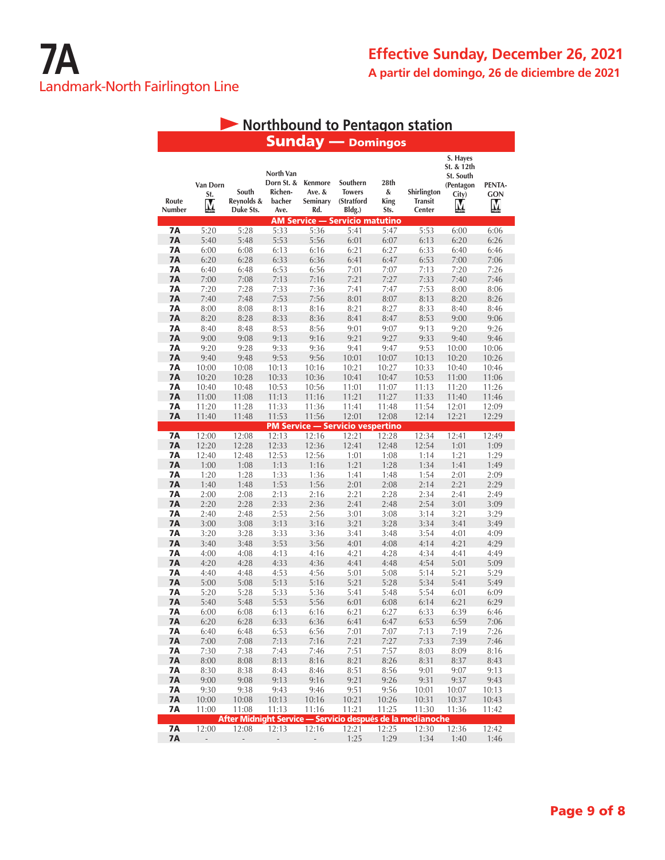| Northbound to Pentagon station |                      |                                  |                                                      |                                                    |                                                   |                                       |                                                            |                                                                        |                           |  |
|--------------------------------|----------------------|----------------------------------|------------------------------------------------------|----------------------------------------------------|---------------------------------------------------|---------------------------------------|------------------------------------------------------------|------------------------------------------------------------------------|---------------------------|--|
|                                |                      |                                  |                                                      |                                                    | <b>Sunday</b> — Domingos                          |                                       |                                                            |                                                                        |                           |  |
| Route<br><b>Number</b>         | Van Dorn<br>St.<br>Ņ | South<br>Reynolds &<br>Duke Sts. | North Van<br>Dorn St. &<br>Richen-<br>bacher<br>Ave. | <b>Kenmore</b><br>Ave. &<br><b>Seminary</b><br>Rd. | Southern<br><b>Towers</b><br>(Stratford<br>Bldg.) | 28 <sub>th</sub><br>&<br>King<br>Sts. | Shirlington<br><b>Transit</b><br>Center                    | S. Hayes<br>St. & 12th<br>St. South<br>(Pentagon<br>City)<br>${\bf M}$ | PENTA-<br><b>GON</b><br>M |  |
| <b>7A</b>                      | 5:20                 | 5:28                             | 5:33                                                 | 5:36                                               | AM Service — Servicio matutino<br>5:41            | 5:47                                  | 5:53                                                       | 6:00                                                                   | 6:06                      |  |
| <b>7A</b>                      | 5:40                 | 5:48                             | 5:53                                                 | 5:56                                               | 6:01                                              | 6:07                                  | 6:13                                                       | 6:20                                                                   | 6:26                      |  |
| 7Α                             | 6:00                 | 6:08                             | 6:13                                                 | 6:16                                               | 6:21                                              | 6:27                                  | 6:33                                                       | 6:40                                                                   | 6:46                      |  |
| <b>7A</b>                      | 6:20                 | 6:28                             | 6:33                                                 | 6:36                                               | 6:41                                              | 6:47                                  | 6:53                                                       | 7:00                                                                   | 7:06                      |  |
| 7Α                             | 6:40                 | 6:48                             | 6:53                                                 | 6:56                                               | 7:01                                              | 7:07                                  | 7:13                                                       | 7:20                                                                   | 7:26                      |  |
| <b>7A</b>                      | 7:00                 | 7:08                             | 7:13                                                 | 7:16                                               | 7:21                                              | 7:27                                  | 7:33                                                       | 7:40                                                                   | 7:46                      |  |
| 7Α                             | 7:20                 | 7:28                             | 7:33                                                 | 7:36                                               | 7:41                                              | 7:47                                  | 7:53                                                       | 8:00                                                                   | 8:06                      |  |
| <b>7A</b>                      | 7:40                 | 7:48                             | 7:53                                                 | 7:56                                               | 8:01                                              | 8:07                                  | 8:13                                                       | 8:20                                                                   | 8:26                      |  |
| 7Α<br><b>7A</b>                | 8:00<br>8:20         | 8:08<br>8:28                     | 8:13<br>8:33                                         | 8:16<br>8:36                                       | 8:21<br>8:41                                      | 8:27<br>8:47                          | 8:33<br>8:53                                               | 8:40<br>9:00                                                           | 8:46<br>9:06              |  |
| 7Α                             | 8:40                 | 8:48                             | 8:53                                                 | 8:56                                               | 9:01                                              | 9:07                                  | 9:13                                                       | 9:20                                                                   | 9:26                      |  |
| <b>7A</b>                      | 9:00                 | 9:08                             | 9:13                                                 | 9:16                                               | 9:21                                              | 9:27                                  | 9:33                                                       | 9:40                                                                   | 9:46                      |  |
| 7Α                             | 9:20                 | 9:28                             | 9:33                                                 | 9:36                                               | 9:41                                              | 9:47                                  | 9:53                                                       | 10:00                                                                  | 10:06                     |  |
| <b>7A</b>                      | 9:40                 | 9:48                             | 9:53                                                 | 9:56                                               | 10:01                                             | 10:07                                 | 10:13                                                      | 10:20                                                                  | 10:26                     |  |
| 7Α                             | 10:00                | 10:08                            | 10:13                                                | 10:16                                              | 10:21                                             | 10:27                                 | 10:33                                                      | 10:40                                                                  | 10:46                     |  |
| <b>7A</b><br>7Α                | 10:20<br>10:40       | 10:28<br>10:48                   | 10:33<br>10:53                                       | 10:36<br>10:56                                     | 10:41<br>11:01                                    | 10:47<br>11:07                        | 10:53<br>11:13                                             | 11:00<br>11:20                                                         | 11:06<br>11:26            |  |
| <b>7A</b>                      | 11:00                | 11:08                            | 11:13                                                | 11:16                                              | 11:21                                             | 11:27                                 | 11:33                                                      | 11:40                                                                  | 11:46                     |  |
| 7Α                             | 11:20                | 11:28                            | 11:33                                                | 11:36                                              | 11:41                                             | 11:48                                 | 11:54                                                      | 12:01                                                                  | 12:09                     |  |
| 7A                             | 11:40                | 11:48                            | 11:53                                                | 11:56                                              | 12:01                                             | 12:08                                 | 12:14                                                      | 12:21                                                                  | 12:29                     |  |
|                                |                      |                                  |                                                      |                                                    | <b>PM Service - Servicio vespertino</b>           |                                       |                                                            |                                                                        |                           |  |
| <b>7A</b>                      | 12:00                | 12:08                            | 12:13                                                | 12:16                                              | 12:21                                             | 12:28                                 | 12:34                                                      | 12:41                                                                  | 12:49                     |  |
| <b>7A</b>                      | 12:20                | 12:28                            | 12:33                                                | 12:36                                              | 12:41                                             | 12:48                                 | 12:54                                                      | 1:01                                                                   | 1:09                      |  |
| 7Α<br><b>7A</b>                | 12:40<br>1:00        | 12:48<br>1:08                    | 12:53<br>1:13                                        | 12:56<br>1:16                                      | 1:01<br>1:21                                      | 1:08<br>1:28                          | 1:14<br>1:34                                               | 1:21<br>1:41                                                           | 1:29<br>1:49              |  |
| 7Α                             | 1:20                 | 1:28                             | 1:33                                                 | 1:36                                               | 1:41                                              | 1:48                                  | 1:54                                                       | 2:01                                                                   | 2:09                      |  |
| <b>7A</b>                      | 1:40                 | 1:48                             | 1:53                                                 | 1:56                                               | 2:01                                              | 2:08                                  | 2:14                                                       | 2:21                                                                   | 2:29                      |  |
| 7Α                             | 2:00                 | 2:08                             | 2:13                                                 | 2:16                                               | 2:21                                              | 2:28                                  | 2:34                                                       | 2:41                                                                   | 2:49                      |  |
| 7A                             | 2:20                 | 2:28                             | 2:33                                                 | 2:36                                               | 2:41                                              | 2:48                                  | 2:54                                                       | 3:01                                                                   | 3:09                      |  |
| 7Α                             | 2:40                 | 2:48                             | 2:53                                                 | 2:56                                               | 3:01                                              | 3:08                                  | 3:14                                                       | 3:21                                                                   | 3:29                      |  |
| <b>7A</b><br>7Α                | 3:00<br>3:20         | 3:08<br>3:28                     | 3:13<br>3:33                                         | 3:16<br>3:36                                       | 3:21<br>3:41                                      | 3:28<br>3:48                          | 3:34<br>3:54                                               | 3:41<br>4:01                                                           | 3:49<br>4:09              |  |
| 7A                             | 3:40                 | 3:48                             | 3:53                                                 | 3:56                                               | 4:01                                              | 4:08                                  | 4:14                                                       | 4:21                                                                   | 4:29                      |  |
| 7Α                             | 4:00                 | 4:08                             | 4:13                                                 | 4:16                                               | 4:21                                              | 4:28                                  | 4:34                                                       | 4:41                                                                   | 4:49                      |  |
| <b>7A</b>                      | 4:20                 | 4:28                             | 4:33                                                 | 4:36                                               | 4:41                                              | 4:48                                  | 4:54                                                       | 5:01                                                                   | 5:09                      |  |
| 7Α                             | 4:40                 | 4:48                             | 4:53                                                 | 4:56                                               | 5:01                                              | 5:08                                  | 5:14                                                       | 5:21                                                                   | 5:29                      |  |
| 7Α                             | 5:00                 | 5:08                             | 5:13                                                 | 5:16                                               | 5:21                                              | 5:28                                  | 5:34                                                       | 5:41                                                                   | 5:49                      |  |
| 7Α                             | 5:20                 | 5:28                             | 5:33                                                 | 5:36                                               | 5:41                                              | 5:48                                  | 5:54                                                       | 6:01                                                                   | 6:09                      |  |
| /A<br>7Α                       | 5:40<br>6:00         | 5:48<br>6:08                     | 5:53<br>6:13                                         | 5:56<br>6:16                                       | 6:01<br>6:21                                      | 6:08<br>6:27                          | 6:14<br>6:33                                               | 6:21<br>6:39                                                           | 6:29<br>6:46              |  |
| <b>7A</b>                      | 6:20                 | 6:28                             | 6:33                                                 | 6:36                                               | 6:41                                              | 6:47                                  | 6:53                                                       | 6:59                                                                   | 7:06                      |  |
| 7A                             | 6:40                 | 6:48                             | 6:53                                                 | 6:56                                               | 7:01                                              | 7:07                                  | 7:13                                                       | 7:19                                                                   | 7:26                      |  |
| <b>7A</b>                      | 7:00                 | 7:08                             | 7:13                                                 | 7:16                                               | 7:21                                              | 7:27                                  | 7:33                                                       | 7:39                                                                   | 7:46                      |  |
| 7A                             | 7:30                 | 7:38                             | 7:43                                                 | 7:46                                               | 7:51                                              | 7:57                                  | 8:03                                                       | 8:09                                                                   | 8:16                      |  |
| <b>7A</b>                      | 8:00                 | 8:08                             | 8:13                                                 | 8:16                                               | 8:21                                              | 8:26                                  | 8:31                                                       | 8:37                                                                   | 8:43                      |  |
| 7A<br><b>7A</b>                | 8:30<br>9:00         | 8:38<br>9:08                     | 8:43<br>9:13                                         | 8:46<br>9:16                                       | 8:51<br>9:21                                      | 8:56<br>9:26                          | 9:01<br>9:31                                               | 9:07<br>9:37                                                           | 9:13<br>9:43              |  |
| 7A                             | 9:30                 | 9:38                             | 9:43                                                 | 9:46                                               | 9:51                                              | 9:56                                  | 10:01                                                      | 10:07                                                                  | 10:13                     |  |
| <b>7A</b>                      | 10:00                | 10:08                            | 10:13                                                | 10:16                                              | 10:21                                             | 10:26                                 | 10:31                                                      | 10:37                                                                  | 10:43                     |  |
| 7A                             | 11:00                | 11:08                            | 11:13                                                | 11:16                                              | 11:21                                             | 11:25                                 | 11:30                                                      | 11:36                                                                  | 11:42                     |  |
|                                |                      |                                  |                                                      |                                                    |                                                   |                                       | After Midnight Service - Servicio después de la medianoche |                                                                        |                           |  |
| <b>7A</b>                      | 12:00                | 12:08                            | 12:13                                                | 12:16                                              | 12:21                                             | 12:25                                 | 12:30                                                      | 12:36                                                                  | 12:42                     |  |
| <b>7A</b>                      |                      | $\overline{\phantom{m}}$         | $\qquad \qquad \blacksquare$                         | $\overline{\phantom{a}}$                           | 1:25                                              | 1:29                                  | 1:34                                                       | 1:40                                                                   | 1:46                      |  |